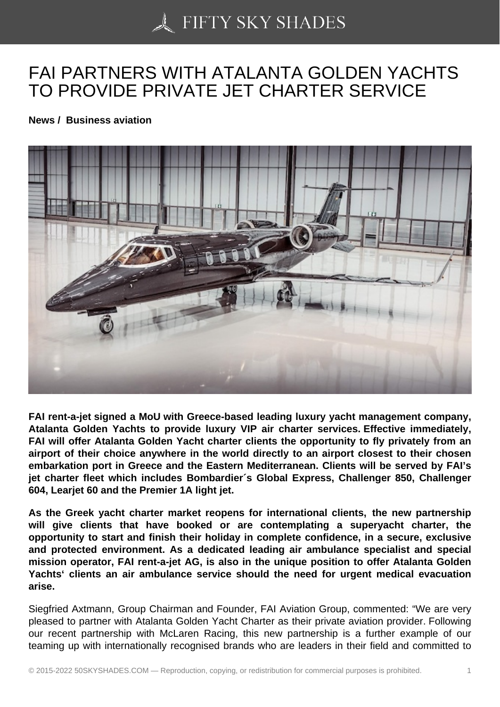## [FAI PARTNERS WITH](https://50skyshades.com) ATALANTA GOLDEN YACHTS TO PROVIDE PRIVATE JET CHARTER SERVICE

News / Business aviation

FAI rent-a-jet signed a MoU with Greece-based leading luxury yacht management company, Atalanta Golden Yachts to provide luxury VIP air charter services. Effective immediately, FAI will offer Atalanta Golden Yacht charter clients the opportunity to fly privately from an airport of their choice anywhere in the world directly to an airport closest to their chosen embarkation port in Greece and the Eastern Mediterranean. Clients will be served by FAI's jet charter fleet which includes Bombardier´s Global Express, Challenger 850, Challenger 604, Learjet 60 and the Premier 1A light jet.

As the Greek yacht charter market reopens for international clients, the new partnership will give clients that have booked or are contemplating a superyacht charter, the opportunity to start and finish their holiday in complete confidence, in a secure, exclusive and protected environment. As a dedicated leading air ambulance specialist and special mission operator, FAI rent-a-jet AG, is also in the unique position to offer Atalanta Golden Yachts' clients an air ambulance service should the need for urgent medical evacuation arise.

Siegfried Axtmann, Group Chairman and Founder, FAI Aviation Group, commented: "We are very pleased to partner with Atalanta Golden Yacht Charter as their private aviation provider. Following our recent partnership with McLaren Racing, this new partnership is a further example of our teaming up with internationally recognised brands who are leaders in their field and committed to